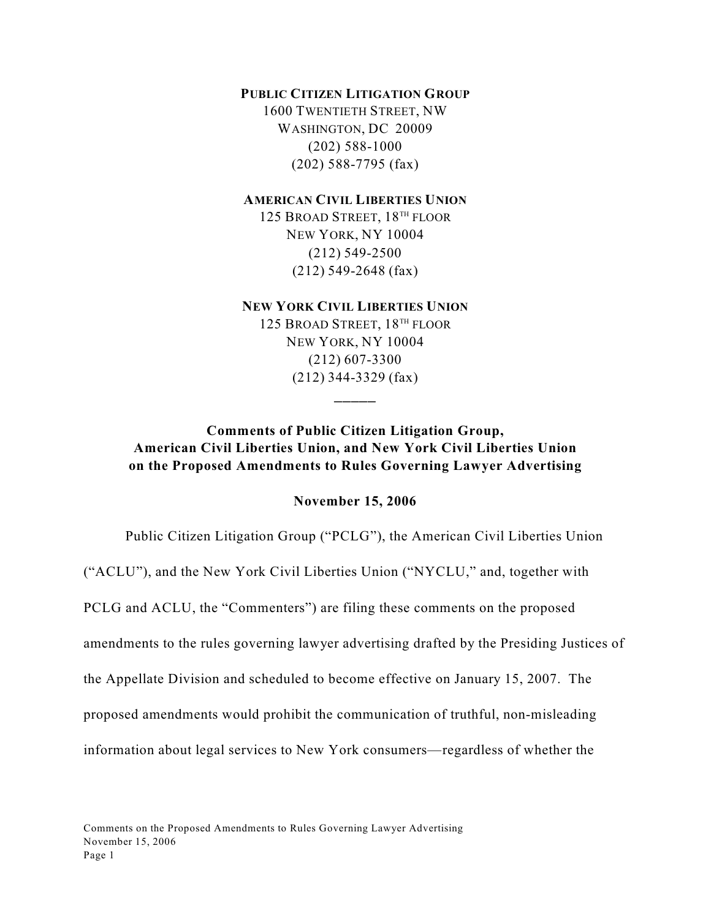### **PUBLIC CITIZEN LITIGATION GROUP**

1600 TWENTIETH STREET, NW WASHINGTON, DC 20009 (202) 588-1000 (202) 588-7795 (fax)

### **AMERICAN CIVIL LIBERTIES UNION**

125 BROAD STREET, 18<sup>TH</sup> FLOOR NEW YORK, NY 10004 (212) 549-2500 (212) 549-2648 (fax)

## **NEW YORK CIVIL LIBERTIES UNION**

125 BROAD STREET, 18<sup>TH</sup> FLOOR NEW YORK, NY 10004 (212) 607-3300 (212) 344-3329 (fax)

 $\overline{\phantom{a}}$ 

## **Comments of Public Citizen Litigation Group, American Civil Liberties Union, and New York Civil Liberties Union on the Proposed Amendments to Rules Governing Lawyer Advertising**

### **November 15, 2006**

Public Citizen Litigation Group ("PCLG"), the American Civil Liberties Union

("ACLU"), and the New York Civil Liberties Union ("NYCLU," and, together with

PCLG and ACLU, the "Commenters") are filing these comments on the proposed

amendments to the rules governing lawyer advertising drafted by the Presiding Justices of

the Appellate Division and scheduled to become effective on January 15, 2007. The

proposed amendments would prohibit the communication of truthful, non-misleading

information about legal services to New York consumers—regardless of whether the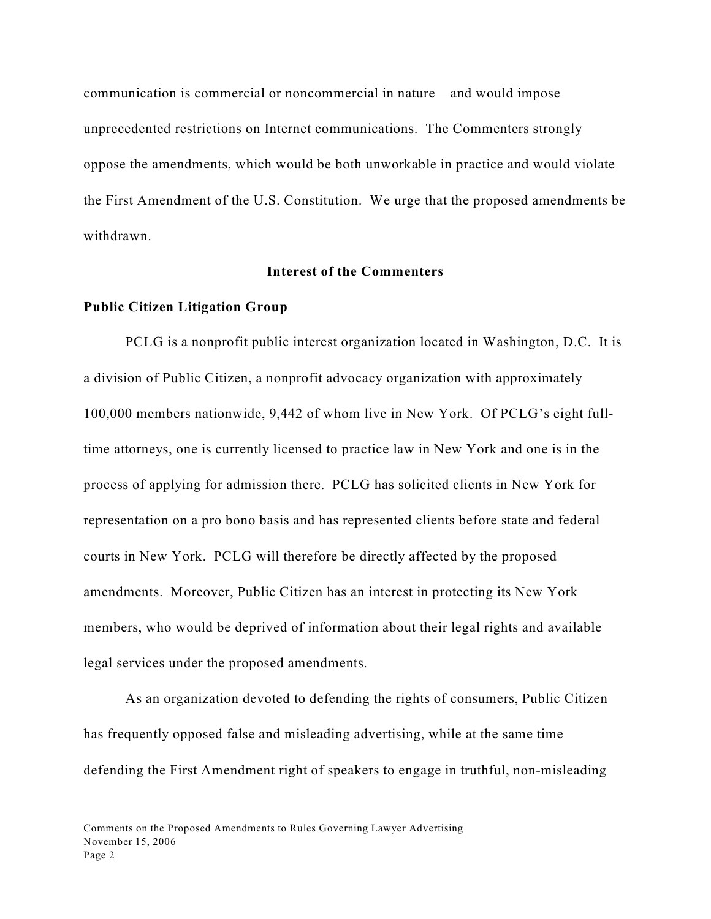communication is commercial or noncommercial in nature—and would impose unprecedented restrictions on Internet communications. The Commenters strongly oppose the amendments, which would be both unworkable in practice and would violate the First Amendment of the U.S. Constitution. We urge that the proposed amendments be withdrawn.

## **Interest of the Commenters**

#### **Public Citizen Litigation Group**

PCLG is a nonprofit public interest organization located in Washington, D.C. It is a division of Public Citizen, a nonprofit advocacy organization with approximately 100,000 members nationwide, 9,442 of whom live in New York. Of PCLG's eight fulltime attorneys, one is currently licensed to practice law in New York and one is in the process of applying for admission there. PCLG has solicited clients in New York for representation on a pro bono basis and has represented clients before state and federal courts in New York. PCLG will therefore be directly affected by the proposed amendments. Moreover, Public Citizen has an interest in protecting its New York members, who would be deprived of information about their legal rights and available legal services under the proposed amendments.

As an organization devoted to defending the rights of consumers, Public Citizen has frequently opposed false and misleading advertising, while at the same time defending the First Amendment right of speakers to engage in truthful, non-misleading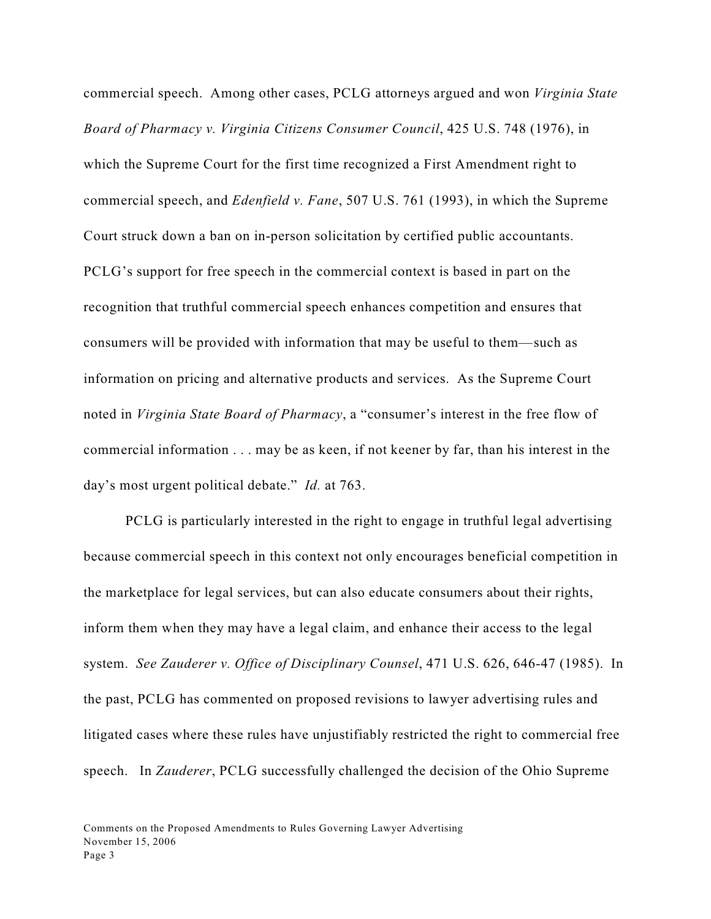commercial speech. Among other cases, PCLG attorneys argued and won *Virginia State Board of Pharmacy v. Virginia Citizens Consumer Council*, 425 U.S. 748 (1976), in which the Supreme Court for the first time recognized a First Amendment right to commercial speech, and *Edenfield v. Fane*, 507 U.S. 761 (1993), in which the Supreme Court struck down a ban on in-person solicitation by certified public accountants. PCLG's support for free speech in the commercial context is based in part on the recognition that truthful commercial speech enhances competition and ensures that consumers will be provided with information that may be useful to them—such as information on pricing and alternative products and services. As the Supreme Court noted in *Virginia State Board of Pharmacy*, a "consumer's interest in the free flow of commercial information . . . may be as keen, if not keener by far, than his interest in the day's most urgent political debate." *Id.* at 763.

PCLG is particularly interested in the right to engage in truthful legal advertising because commercial speech in this context not only encourages beneficial competition in the marketplace for legal services, but can also educate consumers about their rights, inform them when they may have a legal claim, and enhance their access to the legal system. *See Zauderer v. Office of Disciplinary Counsel*, 471 U.S. 626, 646-47 (1985). In the past, PCLG has commented on proposed revisions to lawyer advertising rules and litigated cases where these rules have unjustifiably restricted the right to commercial free speech. In *Zauderer*, PCLG successfully challenged the decision of the Ohio Supreme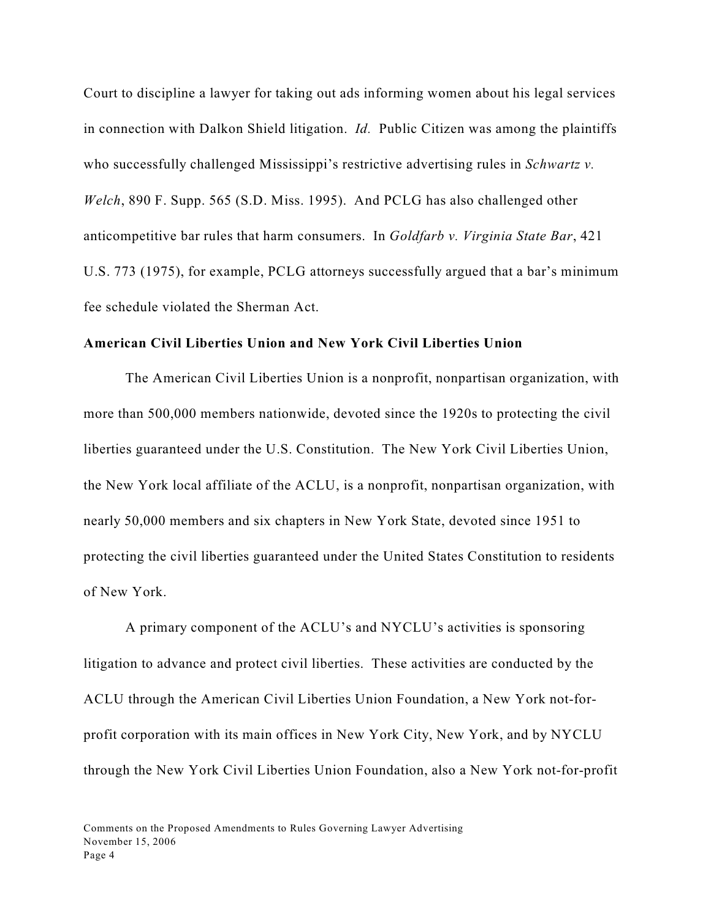Court to discipline a lawyer for taking out ads informing women about his legal services in connection with Dalkon Shield litigation. *Id.* Public Citizen was among the plaintiffs who successfully challenged Mississippi's restrictive advertising rules in *Schwartz v. Welch*, 890 F. Supp. 565 (S.D. Miss. 1995). And PCLG has also challenged other anticompetitive bar rules that harm consumers. In *Goldfarb v. Virginia State Bar*, 421 U.S. 773 (1975), for example, PCLG attorneys successfully argued that a bar's minimum fee schedule violated the Sherman Act.

#### **American Civil Liberties Union and New York Civil Liberties Union**

The American Civil Liberties Union is a nonprofit, nonpartisan organization, with more than 500,000 members nationwide, devoted since the 1920s to protecting the civil liberties guaranteed under the U.S. Constitution. The New York Civil Liberties Union, the New York local affiliate of the ACLU, is a nonprofit, nonpartisan organization, with nearly 50,000 members and six chapters in New York State, devoted since 1951 to protecting the civil liberties guaranteed under the United States Constitution to residents of New York.

A primary component of the ACLU's and NYCLU's activities is sponsoring litigation to advance and protect civil liberties. These activities are conducted by the ACLU through the American Civil Liberties Union Foundation, a New York not-forprofit corporation with its main offices in New York City, New York, and by NYCLU through the New York Civil Liberties Union Foundation, also a New York not-for-profit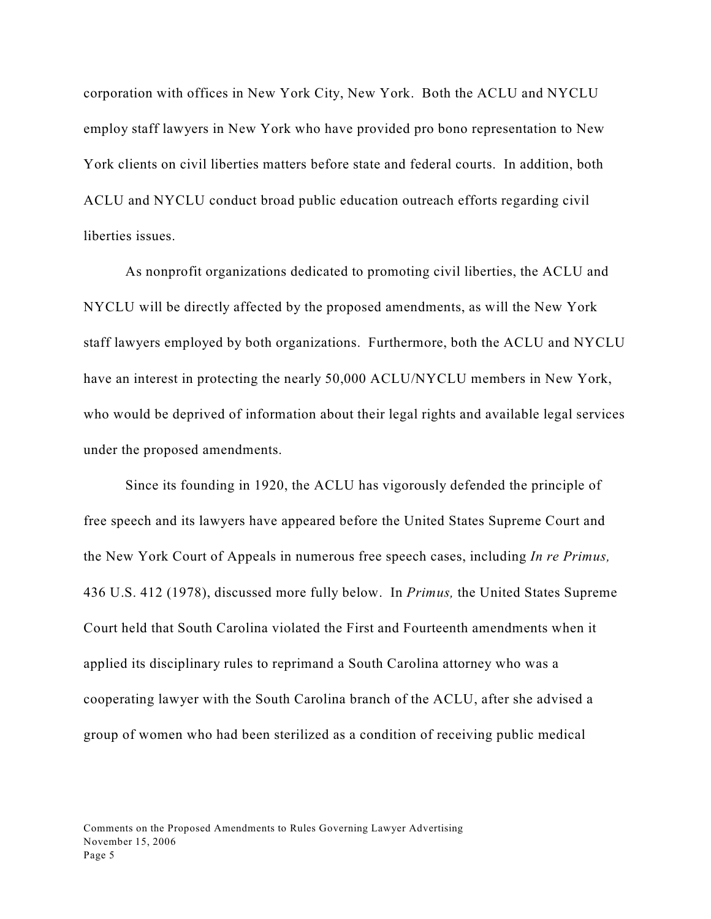corporation with offices in New York City, New York. Both the ACLU and NYCLU employ staff lawyers in New York who have provided pro bono representation to New York clients on civil liberties matters before state and federal courts. In addition, both ACLU and NYCLU conduct broad public education outreach efforts regarding civil liberties issues.

As nonprofit organizations dedicated to promoting civil liberties, the ACLU and NYCLU will be directly affected by the proposed amendments, as will the New York staff lawyers employed by both organizations. Furthermore, both the ACLU and NYCLU have an interest in protecting the nearly 50,000 ACLU/NYCLU members in New York, who would be deprived of information about their legal rights and available legal services under the proposed amendments.

Since its founding in 1920, the ACLU has vigorously defended the principle of free speech and its lawyers have appeared before the United States Supreme Court and the New York Court of Appeals in numerous free speech cases, including *In re Primus,* 436 U.S. 412 (1978), discussed more fully below. In *Primus,* the United States Supreme Court held that South Carolina violated the First and Fourteenth amendments when it applied its disciplinary rules to reprimand a South Carolina attorney who was a cooperating lawyer with the South Carolina branch of the ACLU, after she advised a group of women who had been sterilized as a condition of receiving public medical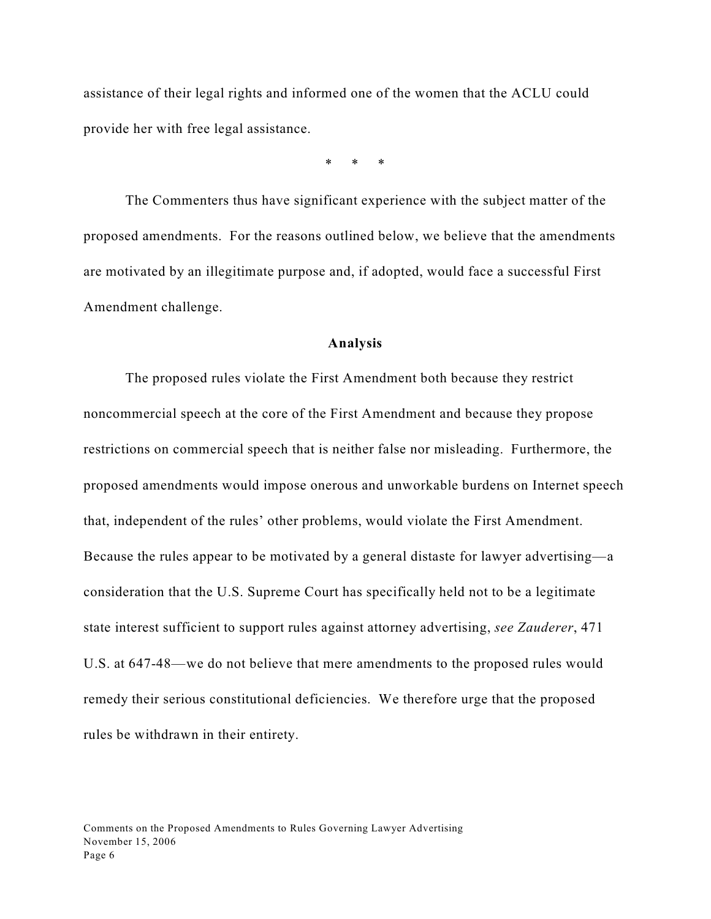assistance of their legal rights and informed one of the women that the ACLU could provide her with free legal assistance.

\* \* \*

The Commenters thus have significant experience with the subject matter of the proposed amendments. For the reasons outlined below, we believe that the amendments are motivated by an illegitimate purpose and, if adopted, would face a successful First Amendment challenge.

#### **Analysis**

The proposed rules violate the First Amendment both because they restrict noncommercial speech at the core of the First Amendment and because they propose restrictions on commercial speech that is neither false nor misleading. Furthermore, the proposed amendments would impose onerous and unworkable burdens on Internet speech that, independent of the rules' other problems, would violate the First Amendment. Because the rules appear to be motivated by a general distaste for lawyer advertising—a consideration that the U.S. Supreme Court has specifically held not to be a legitimate state interest sufficient to support rules against attorney advertising, *see Zauderer*, 471 U.S. at 647-48—we do not believe that mere amendments to the proposed rules would remedy their serious constitutional deficiencies. We therefore urge that the proposed rules be withdrawn in their entirety.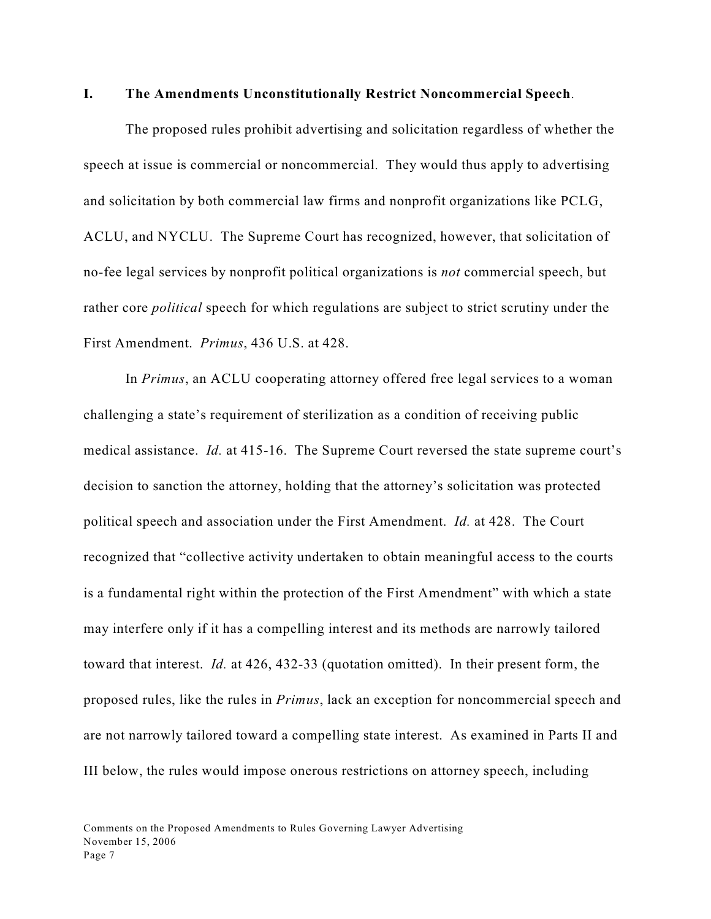#### **I. The Amendments Unconstitutionally Restrict Noncommercial Speech**.

The proposed rules prohibit advertising and solicitation regardless of whether the speech at issue is commercial or noncommercial. They would thus apply to advertising and solicitation by both commercial law firms and nonprofit organizations like PCLG, ACLU, and NYCLU. The Supreme Court has recognized, however, that solicitation of no-fee legal services by nonprofit political organizations is *not* commercial speech, but rather core *political* speech for which regulations are subject to strict scrutiny under the First Amendment. *Primus*, 436 U.S. at 428.

In *Primus*, an ACLU cooperating attorney offered free legal services to a woman challenging a state's requirement of sterilization as a condition of receiving public medical assistance. *Id.* at 415-16.The Supreme Court reversed the state supreme court's decision to sanction the attorney, holding that the attorney's solicitation was protected political speech and association under the First Amendment. *Id.* at 428. The Court recognized that "collective activity undertaken to obtain meaningful access to the courts is a fundamental right within the protection of the First Amendment" with which a state may interfere only if it has a compelling interest and its methods are narrowly tailored toward that interest. *Id.* at 426, 432-33 (quotation omitted).In their present form, the proposed rules, like the rules in *Primus*, lack an exception for noncommercial speech and are not narrowly tailored toward a compelling state interest.As examined in Parts II and III below, the rules would impose onerous restrictions on attorney speech, including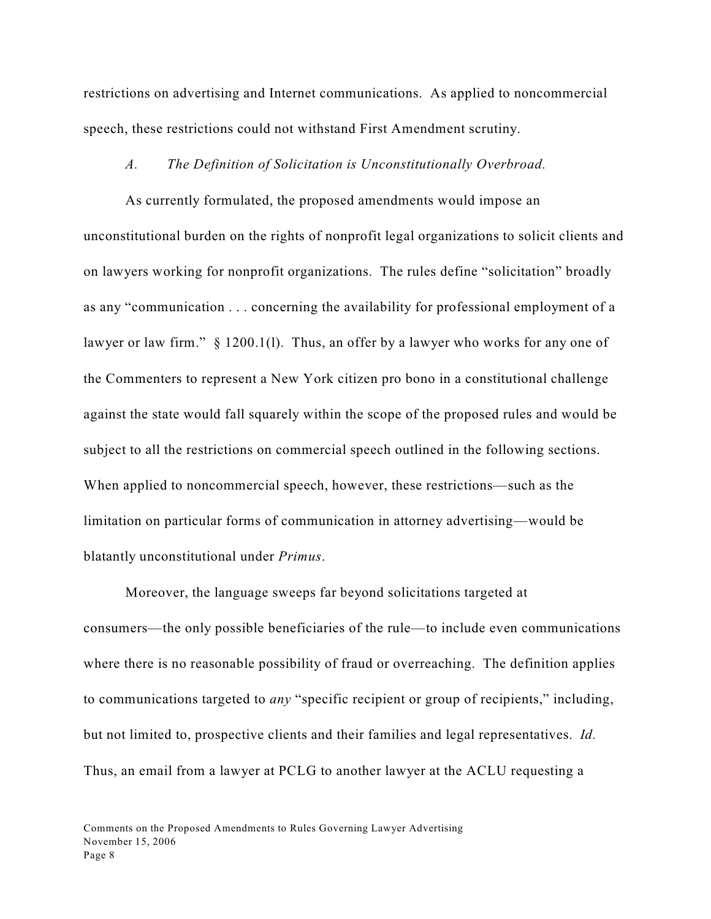restrictions on advertising and Internet communications. As applied to noncommercial speech, these restrictions could not withstand First Amendment scrutiny.

#### *A. The Definition of Solicitation is Unconstitutionally Overbroad.*

As currently formulated, the proposed amendments would impose an unconstitutional burden on the rights of nonprofit legal organizations to solicit clients and on lawyers working for nonprofit organizations. The rules define "solicitation" broadly as any "communication . . . concerning the availability for professional employment of a lawyer or law firm." § 1200.1(1). Thus, an offer by a lawyer who works for any one of the Commenters to represent a New York citizen pro bono in a constitutional challenge against the state would fall squarely within the scope of the proposed rules and would be subject to all the restrictions on commercial speech outlined in the following sections. When applied to noncommercial speech, however, these restrictions—such as the limitation on particular forms of communication in attorney advertising—would be blatantly unconstitutional under *Primus*.

Moreover, the language sweeps far beyond solicitations targeted at consumers—the only possible beneficiaries of the rule—to include even communications where there is no reasonable possibility of fraud or overreaching. The definition applies to communications targeted to *any* "specific recipient or group of recipients," including, but not limited to, prospective clients and their families and legal representatives. *Id.*  Thus, an email from a lawyer at PCLG to another lawyer at the ACLU requesting a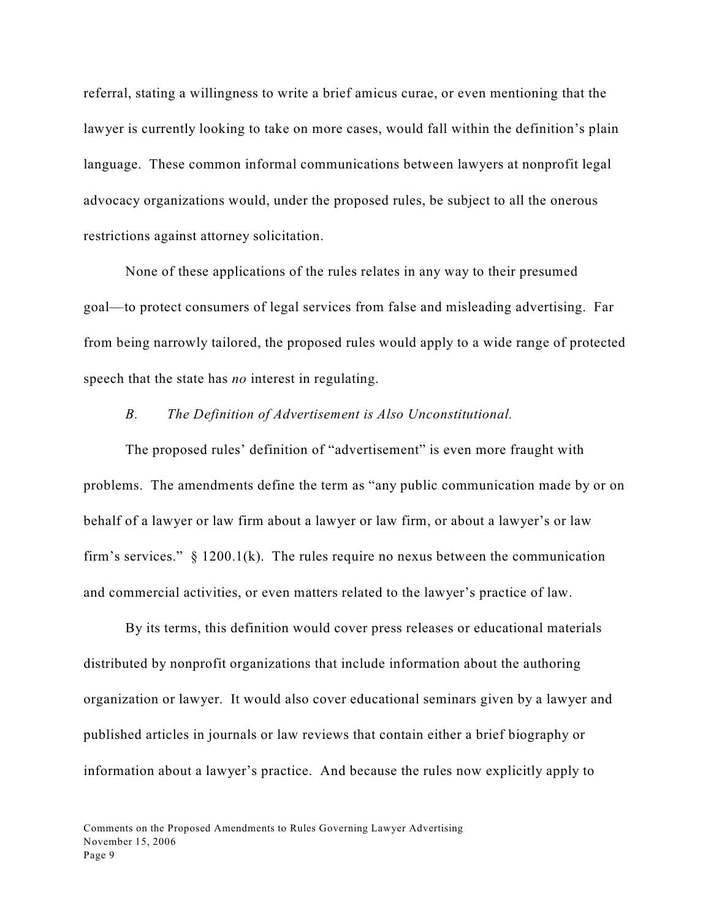referral, stating a willingness to write a brief amicus curae, or even mentioning that the lawyer is currently looking to take on more cases, would fall within the definition's plain language. These common informal communications between lawyers at nonprofit legal advocacy organizations would, under the proposed rules, be subject to all the onerous restrictions against attorney solicitation.

None of these applications of the rules relates in any way to their presumed goal—to protect consumers of legal services from false and misleading advertising. Far from being narrowly tailored, the proposed rules would apply to a wide range of protected speech that the state has *no* interest in regulating.

### *B. The Definition of Advertisement is Also Unconstitutional.*

The proposed rules' definition of "advertisement" is even more fraught with problems. The amendments define the term as "any public communication made by or on behalf of a lawyer or law firm about a lawyer or law firm, or about a lawyer's or law firm's services."  $\S$  1200.1(k). The rules require no nexus between the communication and commercial activities, or even matters related to the lawyer's practice of law.

By its terms, this definition would cover press releases or educational materials distributed by nonprofit organizations that include information about the authoring organization or lawyer. It would also cover educational seminars given by a lawyer and published articles in journals or law reviews that contain either a brief biography or information about a lawyer's practice. And because the rules now explicitly apply to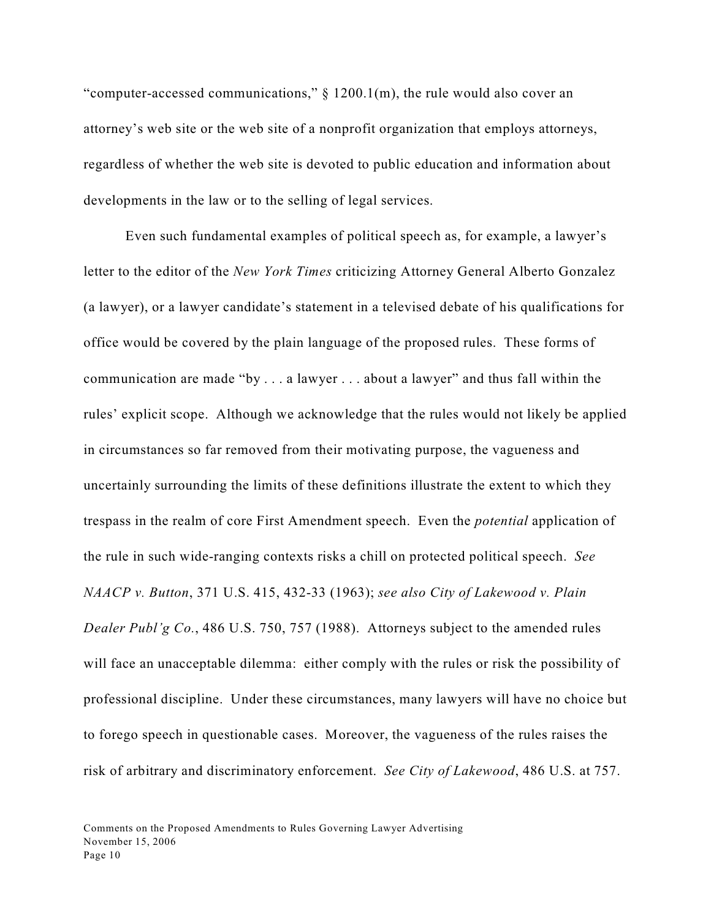"computer-accessed communications," § 1200.1(m), the rule would also cover an attorney's web site or the web site of a nonprofit organization that employs attorneys, regardless of whether the web site is devoted to public education and information about developments in the law or to the selling of legal services.

Even such fundamental examples of political speech as, for example, a lawyer's letter to the editor of the *New York Times* criticizing Attorney General Alberto Gonzalez (a lawyer), or a lawyer candidate's statement in a televised debate of his qualifications for office would be covered by the plain language of the proposed rules. These forms of communication are made "by . . . a lawyer . . . about a lawyer" and thus fall within the rules' explicit scope. Although we acknowledge that the rules would not likely be applied in circumstances so far removed from their motivating purpose, the vagueness and uncertainly surrounding the limits of these definitions illustrate the extent to which they trespass in the realm of core First Amendment speech. Even the *potential* application of the rule in such wide-ranging contexts risks a chill on protected political speech. *See NAACP v. Button*, 371 U.S. 415, 432-33 (1963); *see also City of Lakewood v. Plain Dealer Publ'g Co.*, 486 U.S. 750, 757 (1988). Attorneys subject to the amended rules will face an unacceptable dilemma: either comply with the rules or risk the possibility of professional discipline. Under these circumstances, many lawyers will have no choice but to forego speech in questionable cases. Moreover, the vagueness of the rules raises the risk of arbitrary and discriminatory enforcement. *See City of Lakewood*, 486 U.S. at 757.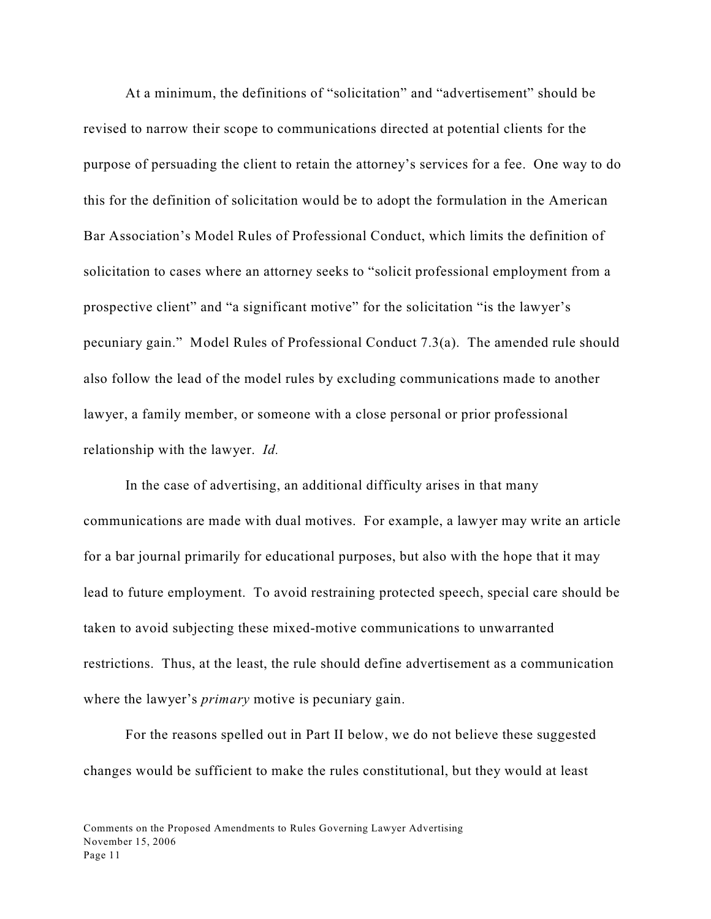At a minimum, the definitions of "solicitation" and "advertisement" should be revised to narrow their scope to communications directed at potential clients for the purpose of persuading the client to retain the attorney's services for a fee. One way to do this for the definition of solicitation would be to adopt the formulation in the American Bar Association's Model Rules of Professional Conduct, which limits the definition of solicitation to cases where an attorney seeks to "solicit professional employment from a prospective client" and "a significant motive" for the solicitation "is the lawyer's pecuniary gain." Model Rules of Professional Conduct 7.3(a). The amended rule should also follow the lead of the model rules by excluding communications made to another lawyer, a family member, or someone with a close personal or prior professional relationship with the lawyer. *Id.*

In the case of advertising, an additional difficulty arises in that many communications are made with dual motives. For example, a lawyer may write an article for a bar journal primarily for educational purposes, but also with the hope that it may lead to future employment. To avoid restraining protected speech, special care should be taken to avoid subjecting these mixed-motive communications to unwarranted restrictions. Thus, at the least, the rule should define advertisement as a communication where the lawyer's *primary* motive is pecuniary gain.

For the reasons spelled out in Part II below, we do not believe these suggested changes would be sufficient to make the rules constitutional, but they would at least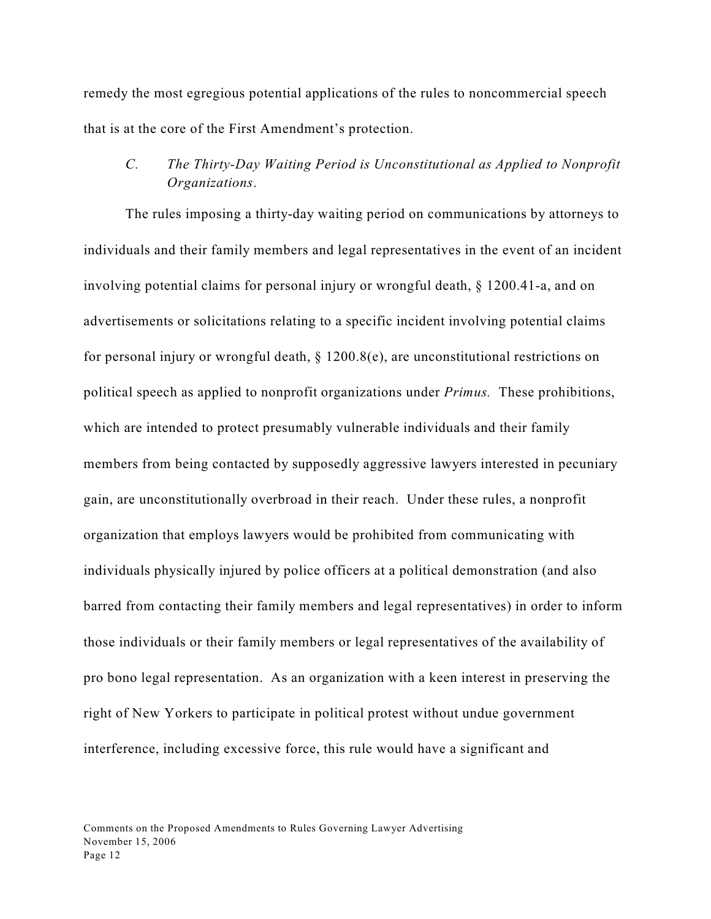remedy the most egregious potential applications of the rules to noncommercial speech that is at the core of the First Amendment's protection.

# *C. The Thirty-Day Waiting Period is Unconstitutional as Applied to Nonprofit Organizations*.

The rules imposing a thirty-day waiting period on communications by attorneys to individuals and their family members and legal representatives in the event of an incident involving potential claims for personal injury or wrongful death, § 1200.41-a, and on advertisements or solicitations relating to a specific incident involving potential claims for personal injury or wrongful death,  $\S$  1200.8(e), are unconstitutional restrictions on political speech as applied to nonprofit organizations under *Primus.* These prohibitions, which are intended to protect presumably vulnerable individuals and their family members from being contacted by supposedly aggressive lawyers interested in pecuniary gain, are unconstitutionally overbroad in their reach. Under these rules, a nonprofit organization that employs lawyers would be prohibited from communicating with individuals physically injured by police officers at a political demonstration (and also barred from contacting their family members and legal representatives) in order to inform those individuals or their family members or legal representatives of the availability of pro bono legal representation. As an organization with a keen interest in preserving the right of New Yorkers to participate in political protest without undue government interference, including excessive force, this rule would have a significant and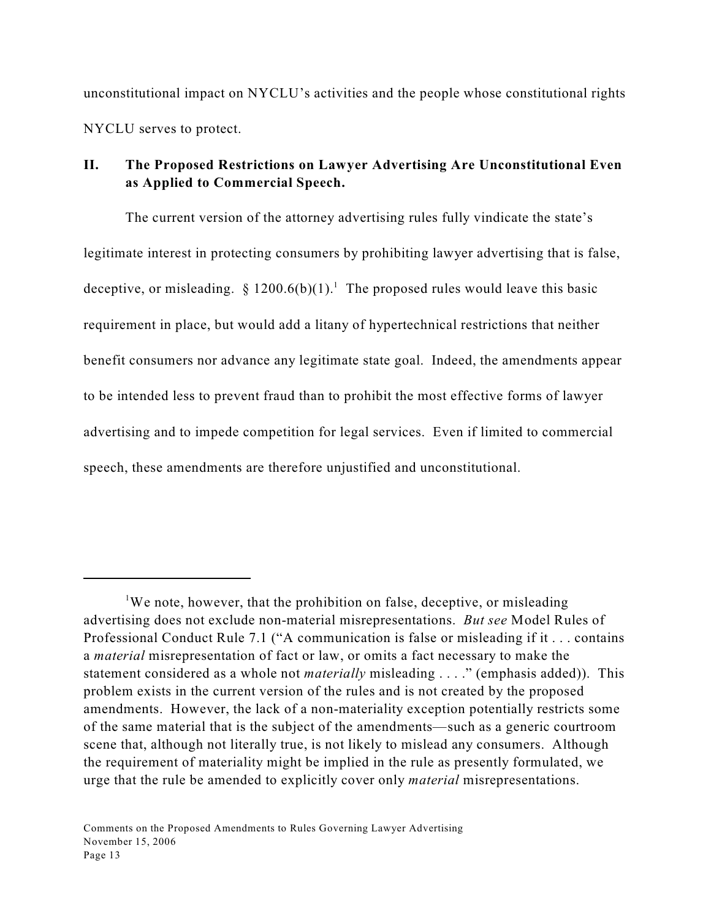unconstitutional impact on NYCLU's activities and the people whose constitutional rights NYCLU serves to protect.

## **II. The Proposed Restrictions on Lawyer Advertising Are Unconstitutional Even as Applied to Commercial Speech.**

The current version of the attorney advertising rules fully vindicate the state's legitimate interest in protecting consumers by prohibiting lawyer advertising that is false, deceptive, or misleading.  $\S$  1200.6(b)(1).<sup>1</sup> The proposed rules would leave this basic requirement in place, but would add a litany of hypertechnical restrictions that neither benefit consumers nor advance any legitimate state goal. Indeed, the amendments appear to be intended less to prevent fraud than to prohibit the most effective forms of lawyer advertising and to impede competition for legal services. Even if limited to commercial speech, these amendments are therefore unjustified and unconstitutional.

<sup>&</sup>lt;sup>1</sup>We note, however, that the prohibition on false, deceptive, or misleading advertising does not exclude non-material misrepresentations. *But see* Model Rules of Professional Conduct Rule 7.1 ("A communication is false or misleading if it . . . contains a *material* misrepresentation of fact or law, or omits a fact necessary to make the statement considered as a whole not *materially* misleading . . . ." (emphasis added)). This problem exists in the current version of the rules and is not created by the proposed amendments. However, the lack of a non-materiality exception potentially restricts some of the same material that is the subject of the amendments—such as a generic courtroom scene that, although not literally true, is not likely to mislead any consumers. Although the requirement of materiality might be implied in the rule as presently formulated, we urge that the rule be amended to explicitly cover only *material* misrepresentations.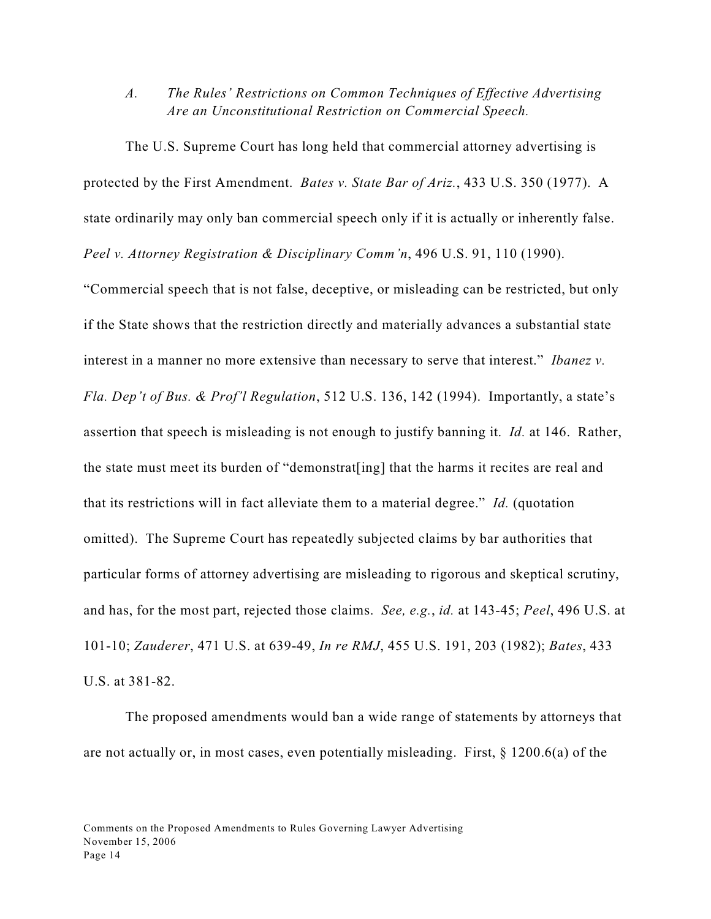*A. The Rules' Restrictions on Common Techniques of Effective Advertising Are an Unconstitutional Restriction on Commercial Speech.*

The U.S. Supreme Court has long held that commercial attorney advertising is protected by the First Amendment. *Bates v. State Bar of Ariz.*, 433 U.S. 350 (1977). A state ordinarily may only ban commercial speech only if it is actually or inherently false. *Peel v. Attorney Registration & Disciplinary Comm'n*, 496 U.S. 91, 110 (1990).

"Commercial speech that is not false, deceptive, or misleading can be restricted, but only if the State shows that the restriction directly and materially advances a substantial state interest in a manner no more extensive than necessary to serve that interest." *Ibanez v. Fla. Dep't of Bus. & Prof'l Regulation*, 512 U.S. 136, 142 (1994). Importantly, a state's assertion that speech is misleading is not enough to justify banning it. *Id.* at 146. Rather, the state must meet its burden of "demonstrat[ing] that the harms it recites are real and that its restrictions will in fact alleviate them to a material degree." *Id.* (quotation omitted). The Supreme Court has repeatedly subjected claims by bar authorities that particular forms of attorney advertising are misleading to rigorous and skeptical scrutiny, and has, for the most part, rejected those claims. *See, e.g.*, *id.* at 143-45; *Peel*, 496 U.S. at 101-10; *Zauderer*, 471 U.S. at 639-49, *In re RMJ*, 455 U.S. 191, 203 (1982); *Bates*, 433 U.S. at 381-82.

The proposed amendments would ban a wide range of statements by attorneys that are not actually or, in most cases, even potentially misleading. First, § 1200.6(a) of the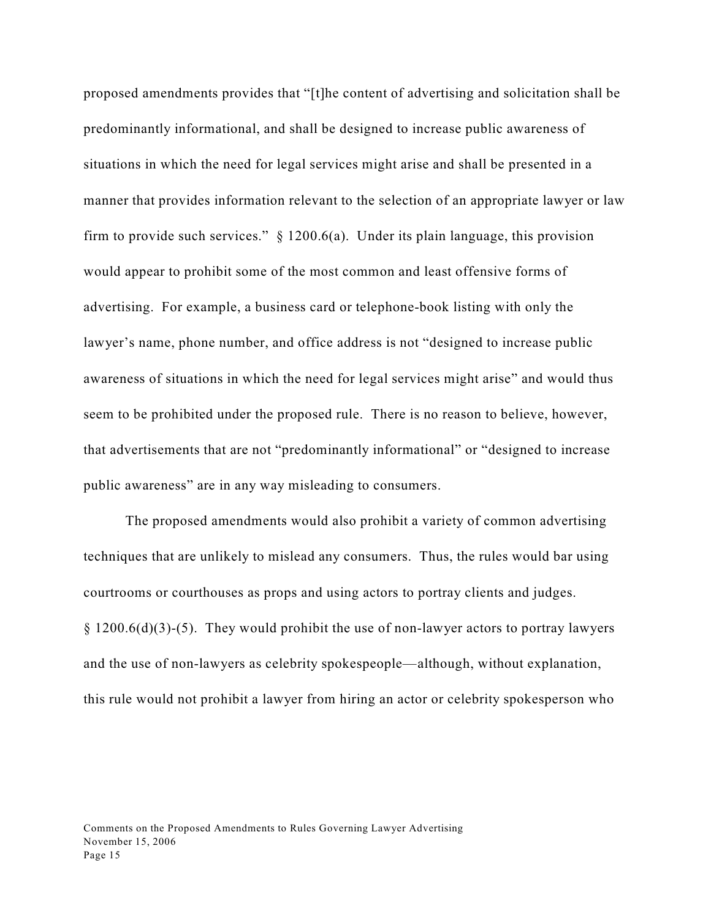proposed amendments provides that "[t]he content of advertising and solicitation shall be predominantly informational, and shall be designed to increase public awareness of situations in which the need for legal services might arise and shall be presented in a manner that provides information relevant to the selection of an appropriate lawyer or law firm to provide such services."  $\S$  1200.6(a). Under its plain language, this provision would appear to prohibit some of the most common and least offensive forms of advertising. For example, a business card or telephone-book listing with only the lawyer's name, phone number, and office address is not "designed to increase public awareness of situations in which the need for legal services might arise" and would thus seem to be prohibited under the proposed rule. There is no reason to believe, however, that advertisements that are not "predominantly informational" or "designed to increase public awareness" are in any way misleading to consumers.

The proposed amendments would also prohibit a variety of common advertising techniques that are unlikely to mislead any consumers. Thus, the rules would bar using courtrooms or courthouses as props and using actors to portray clients and judges.  $§ 1200.6(d)(3)-(5)$ . They would prohibit the use of non-lawyer actors to portray lawyers and the use of non-lawyers as celebrity spokespeople—although, without explanation, this rule would not prohibit a lawyer from hiring an actor or celebrity spokesperson who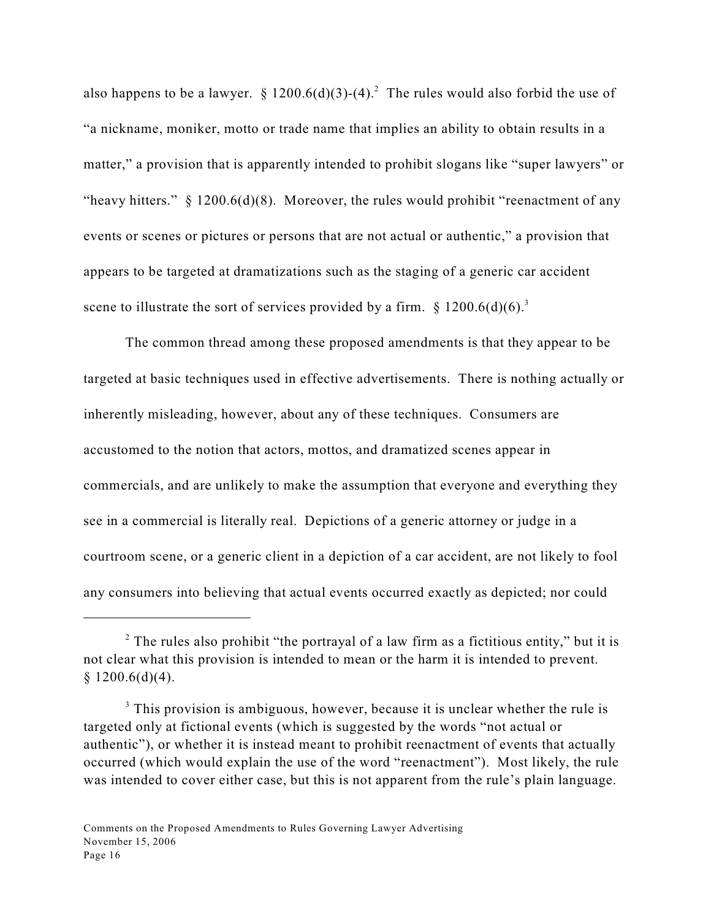also happens to be a lawyer. § 1200.6(d)(3)-(4).<sup>2</sup> The rules would also forbid the use of "a nickname, moniker, motto or trade name that implies an ability to obtain results in a matter," a provision that is apparently intended to prohibit slogans like "super lawyers" or "heavy hitters."  $\S$  1200.6(d)(8). Moreover, the rules would prohibit "reenactment of any events or scenes or pictures or persons that are not actual or authentic," a provision that appears to be targeted at dramatizations such as the staging of a generic car accident scene to illustrate the sort of services provided by a firm.  $\S 1200.6(d)(6)^3$ 

The common thread among these proposed amendments is that they appear to be targeted at basic techniques used in effective advertisements. There is nothing actually or inherently misleading, however, about any of these techniques. Consumers are accustomed to the notion that actors, mottos, and dramatized scenes appear in commercials, and are unlikely to make the assumption that everyone and everything they see in a commercial is literally real. Depictions of a generic attorney or judge in a courtroom scene, or a generic client in a depiction of a car accident, are not likely to fool any consumers into believing that actual events occurred exactly as depicted; nor could

 $2$  The rules also prohibit "the portrayal of a law firm as a fictitious entity," but it is not clear what this provision is intended to mean or the harm it is intended to prevent.  $$1200.6(d)(4).$ 

 $3$  This provision is ambiguous, however, because it is unclear whether the rule is targeted only at fictional events (which is suggested by the words "not actual or authentic"), or whether it is instead meant to prohibit reenactment of events that actually occurred (which would explain the use of the word "reenactment"). Most likely, the rule was intended to cover either case, but this is not apparent from the rule's plain language.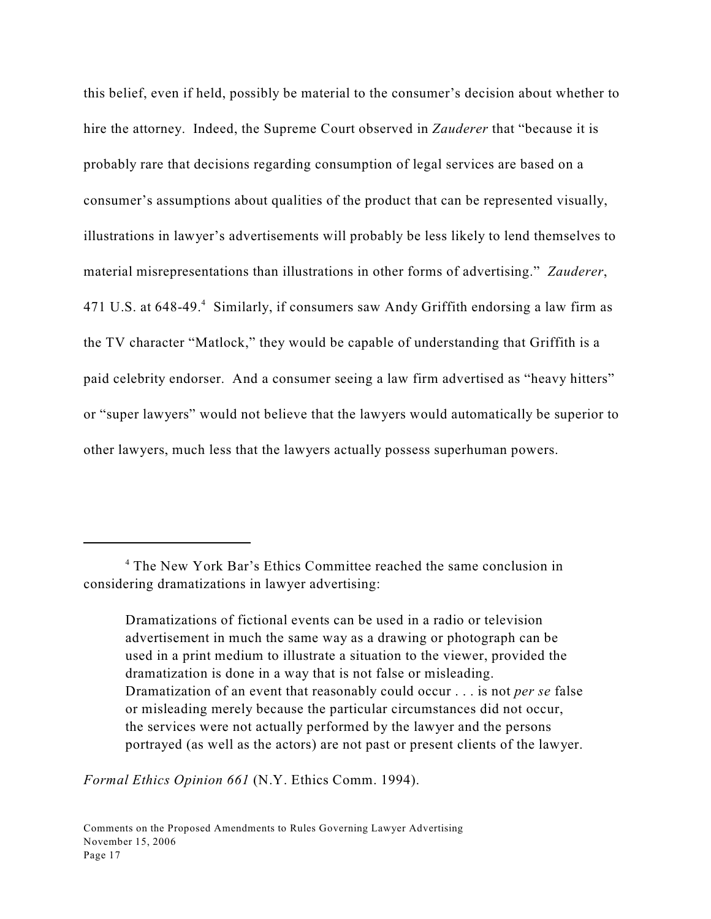this belief, even if held, possibly be material to the consumer's decision about whether to hire the attorney. Indeed, the Supreme Court observed in *Zauderer* that "because it is probably rare that decisions regarding consumption of legal services are based on a consumer's assumptions about qualities of the product that can be represented visually, illustrations in lawyer's advertisements will probably be less likely to lend themselves to material misrepresentations than illustrations in other forms of advertising." *Zauderer*, 471 U.S. at 648-49.<sup>4</sup> Similarly, if consumers saw Andy Griffith endorsing a law firm as the TV character "Matlock," they would be capable of understanding that Griffith is a paid celebrity endorser. And a consumer seeing a law firm advertised as "heavy hitters" or "super lawyers" would not believe that the lawyers would automatically be superior to other lawyers, much less that the lawyers actually possess superhuman powers.

Dramatizations of fictional events can be used in a radio or television advertisement in much the same way as a drawing or photograph can be used in a print medium to illustrate a situation to the viewer, provided the dramatization is done in a way that is not false or misleading. Dramatization of an event that reasonably could occur . . . is not *per se* false or misleading merely because the particular circumstances did not occur, the services were not actually performed by the lawyer and the persons portrayed (as well as the actors) are not past or present clients of the lawyer.

*Formal Ethics Opinion 661* (N.Y. Ethics Comm. 1994).

<sup>&</sup>lt;sup>4</sup> The New York Bar's Ethics Committee reached the same conclusion in considering dramatizations in lawyer advertising: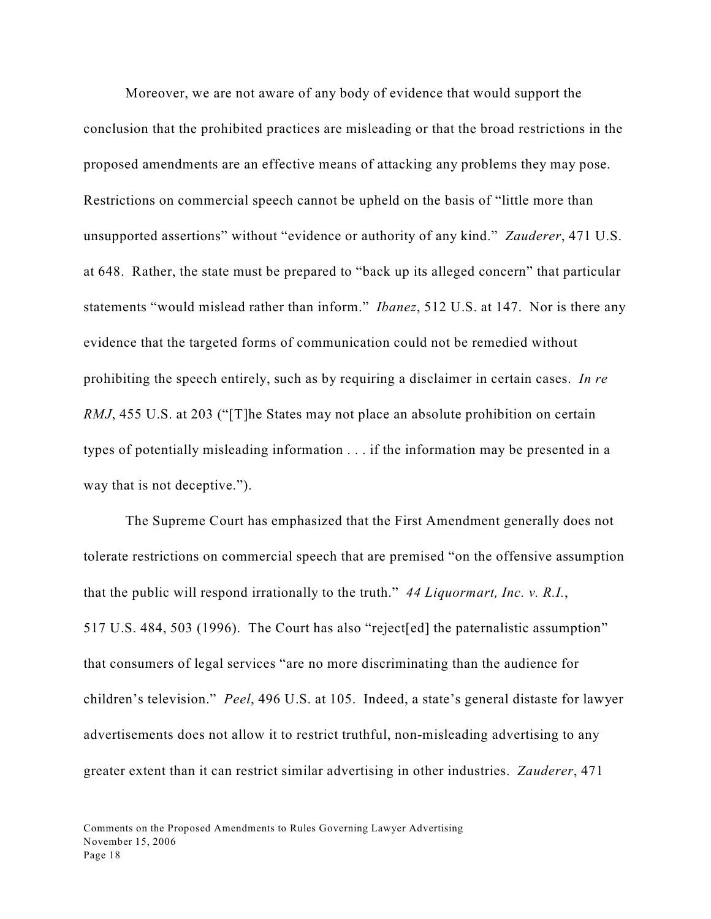Moreover, we are not aware of any body of evidence that would support the conclusion that the prohibited practices are misleading or that the broad restrictions in the proposed amendments are an effective means of attacking any problems they may pose. Restrictions on commercial speech cannot be upheld on the basis of "little more than unsupported assertions" without "evidence or authority of any kind." *Zauderer*, 471 U.S. at 648. Rather, the state must be prepared to "back up its alleged concern" that particular statements "would mislead rather than inform." *Ibanez*, 512 U.S. at 147. Nor is there any evidence that the targeted forms of communication could not be remedied without prohibiting the speech entirely, such as by requiring a disclaimer in certain cases. *In re RMJ*, 455 U.S. at 203 ("[T]he States may not place an absolute prohibition on certain types of potentially misleading information . . . if the information may be presented in a way that is not deceptive.").

The Supreme Court has emphasized that the First Amendment generally does not tolerate restrictions on commercial speech that are premised "on the offensive assumption that the public will respond irrationally to the truth." *44 Liquormart, Inc. v. R.I.*, 517 U.S. 484, 503 (1996). The Court has also "reject[ed] the paternalistic assumption" that consumers of legal services "are no more discriminating than the audience for children's television." *Peel*, 496 U.S. at 105. Indeed, a state's general distaste for lawyer advertisements does not allow it to restrict truthful, non-misleading advertising to any greater extent than it can restrict similar advertising in other industries. *Zauderer*, 471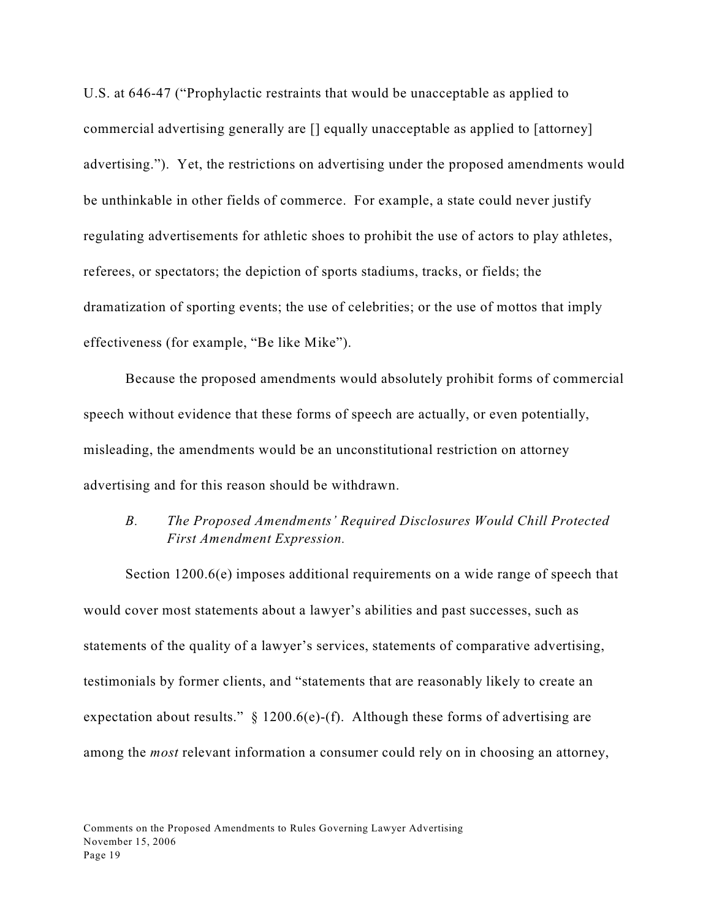U.S. at 646-47 ("Prophylactic restraints that would be unacceptable as applied to commercial advertising generally are [] equally unacceptable as applied to [attorney] advertising."). Yet, the restrictions on advertising under the proposed amendments would be unthinkable in other fields of commerce. For example, a state could never justify regulating advertisements for athletic shoes to prohibit the use of actors to play athletes, referees, or spectators; the depiction of sports stadiums, tracks, or fields; the dramatization of sporting events; the use of celebrities; or the use of mottos that imply effectiveness (for example, "Be like Mike").

Because the proposed amendments would absolutely prohibit forms of commercial speech without evidence that these forms of speech are actually, or even potentially, misleading, the amendments would be an unconstitutional restriction on attorney advertising and for this reason should be withdrawn.

## *B. The Proposed Amendments' Required Disclosures Would Chill Protected First Amendment Expression.*

Section 1200.6(e) imposes additional requirements on a wide range of speech that would cover most statements about a lawyer's abilities and past successes, such as statements of the quality of a lawyer's services, statements of comparative advertising, testimonials by former clients, and "statements that are reasonably likely to create an expectation about results."  $\S$  1200.6(e)-(f). Although these forms of advertising are among the *most* relevant information a consumer could rely on in choosing an attorney,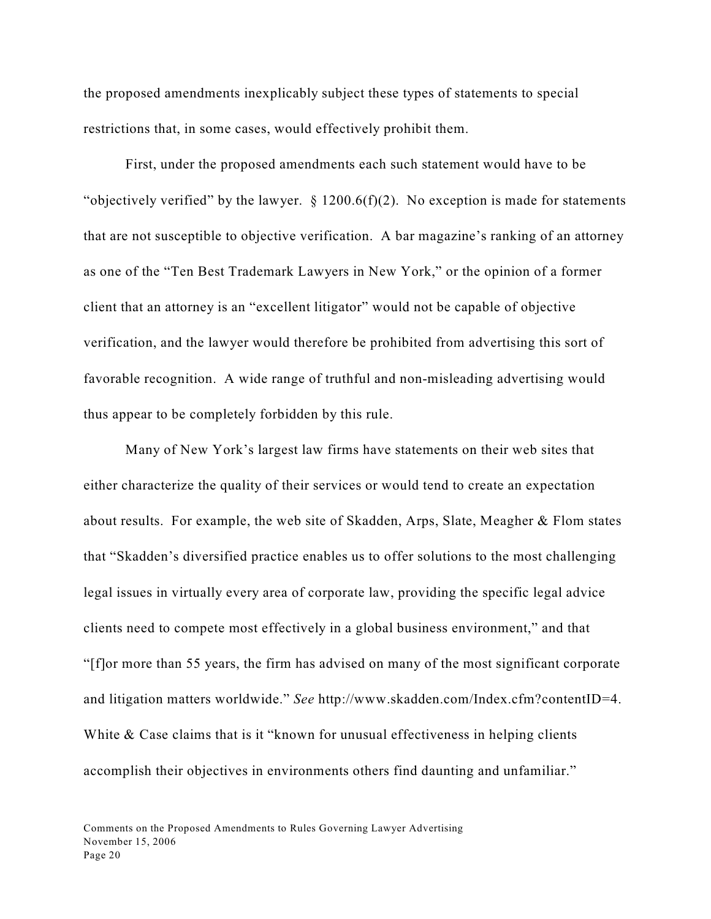the proposed amendments inexplicably subject these types of statements to special restrictions that, in some cases, would effectively prohibit them.

First, under the proposed amendments each such statement would have to be "objectively verified" by the lawyer.  $\S$  1200.6(f)(2). No exception is made for statements that are not susceptible to objective verification. A bar magazine's ranking of an attorney as one of the "Ten Best Trademark Lawyers in New York," or the opinion of a former client that an attorney is an "excellent litigator" would not be capable of objective verification, and the lawyer would therefore be prohibited from advertising this sort of favorable recognition. A wide range of truthful and non-misleading advertising would thus appear to be completely forbidden by this rule.

Many of New York's largest law firms have statements on their web sites that either characterize the quality of their services or would tend to create an expectation about results. For example, the web site of Skadden, Arps, Slate, Meagher & Flom states that "Skadden's diversified practice enables us to offer solutions to the most challenging legal issues in virtually every area of corporate law, providing the specific legal advice clients need to compete most effectively in a global business environment," and that "[f]or more than 55 years, the firm has advised on many of the most significant corporate and litigation matters worldwide." *See* http://www.skadden.com/Index.cfm?contentID=4. White & Case claims that is it "known for unusual effectiveness in helping clients" accomplish their objectives in environments others find daunting and unfamiliar."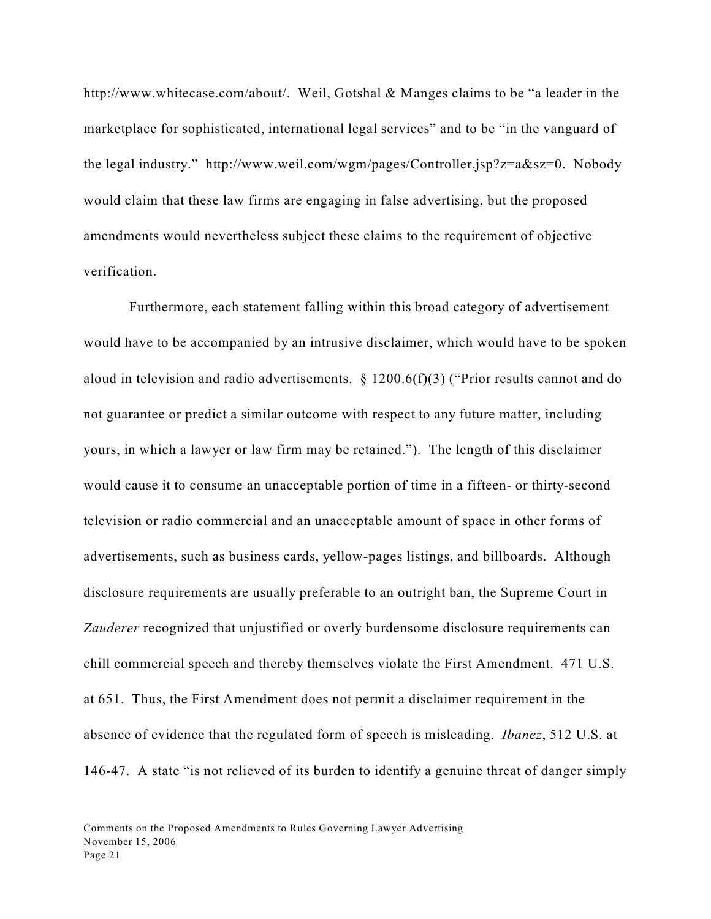http://www.whitecase.com/about/. Weil, Gotshal & Manges claims to be "a leader in the marketplace for sophisticated, international legal services" and to be "in the vanguard of the legal industry." http://www.weil.com/wgm/pages/Controller.jsp?z=a&sz=0. Nobody would claim that these law firms are engaging in false advertising, but the proposed amendments would nevertheless subject these claims to the requirement of objective verification.

 Furthermore, each statement falling within this broad category of advertisement would have to be accompanied by an intrusive disclaimer, which would have to be spoken aloud in television and radio advertisements. § 1200.6(f)(3) ("Prior results cannot and do not guarantee or predict a similar outcome with respect to any future matter, including yours, in which a lawyer or law firm may be retained."). The length of this disclaimer would cause it to consume an unacceptable portion of time in a fifteen- or thirty-second television or radio commercial and an unacceptable amount of space in other forms of advertisements, such as business cards, yellow-pages listings, and billboards. Although disclosure requirements are usually preferable to an outright ban, the Supreme Court in *Zauderer* recognized that unjustified or overly burdensome disclosure requirements can chill commercial speech and thereby themselves violate the First Amendment. 471 U.S. at 651. Thus, the First Amendment does not permit a disclaimer requirement in the absence of evidence that the regulated form of speech is misleading. *Ibanez*, 512 U.S. at 146-47. A state "is not relieved of its burden to identify a genuine threat of danger simply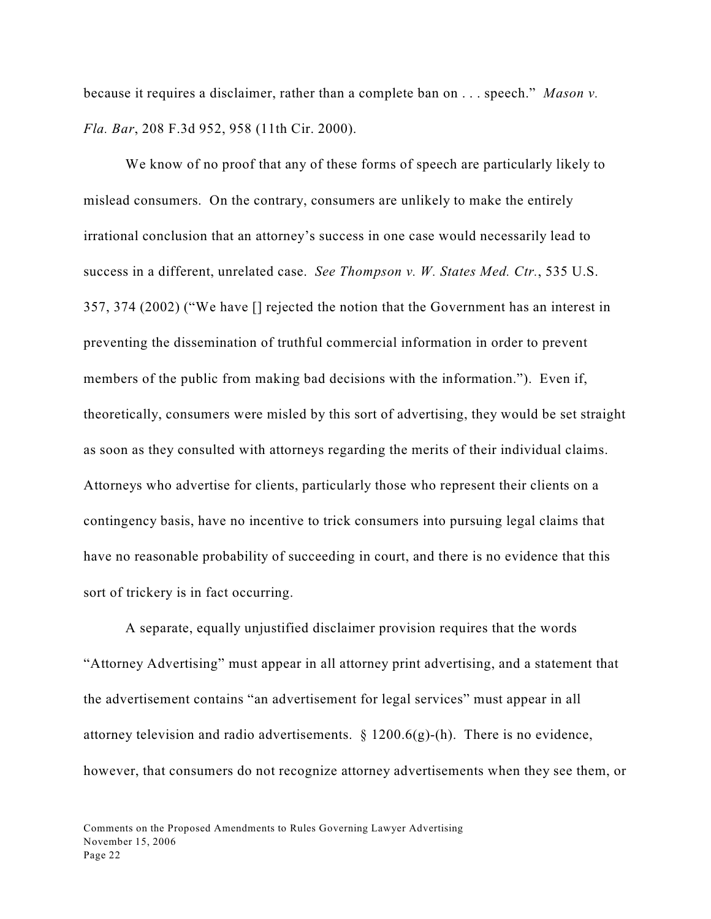because it requires a disclaimer, rather than a complete ban on . . . speech." *Mason v. Fla. Bar*, 208 F.3d 952, 958 (11th Cir. 2000).

We know of no proof that any of these forms of speech are particularly likely to mislead consumers. On the contrary, consumers are unlikely to make the entirely irrational conclusion that an attorney's success in one case would necessarily lead to success in a different, unrelated case. *See Thompson v. W. States Med. Ctr.*, 535 U.S. 357, 374 (2002) ("We have [] rejected the notion that the Government has an interest in preventing the dissemination of truthful commercial information in order to prevent members of the public from making bad decisions with the information."). Even if, theoretically, consumers were misled by this sort of advertising, they would be set straight as soon as they consulted with attorneys regarding the merits of their individual claims. Attorneys who advertise for clients, particularly those who represent their clients on a contingency basis, have no incentive to trick consumers into pursuing legal claims that have no reasonable probability of succeeding in court, and there is no evidence that this sort of trickery is in fact occurring.

A separate, equally unjustified disclaimer provision requires that the words "Attorney Advertising" must appear in all attorney print advertising, and a statement that the advertisement contains "an advertisement for legal services" must appear in all attorney television and radio advertisements. § 1200.6(g)-(h). There is no evidence, however, that consumers do not recognize attorney advertisements when they see them, or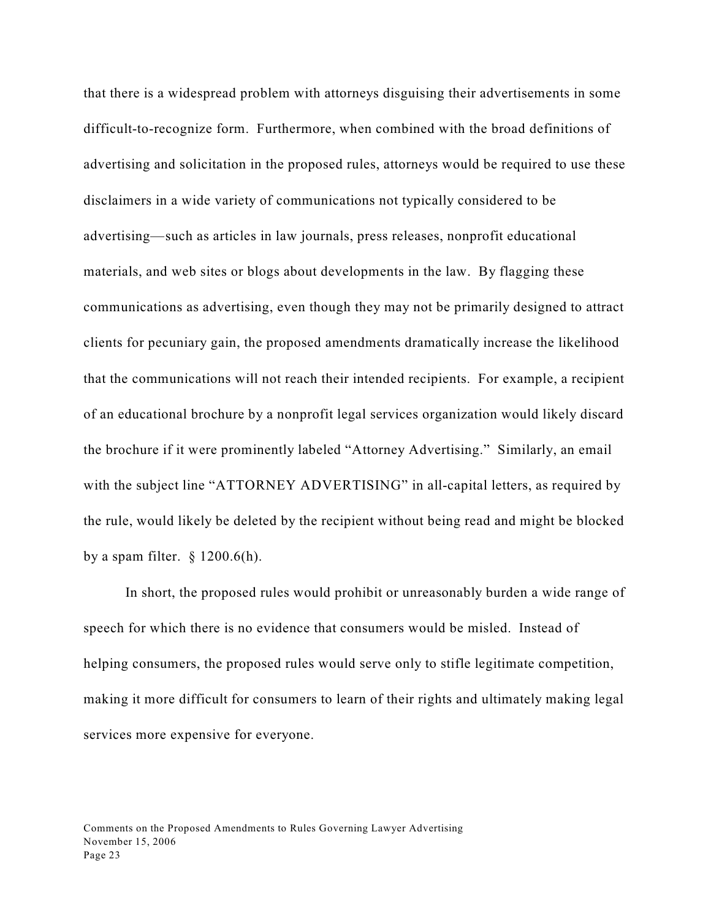that there is a widespread problem with attorneys disguising their advertisements in some difficult-to-recognize form. Furthermore, when combined with the broad definitions of advertising and solicitation in the proposed rules, attorneys would be required to use these disclaimers in a wide variety of communications not typically considered to be advertising—such as articles in law journals, press releases, nonprofit educational materials, and web sites or blogs about developments in the law. By flagging these communications as advertising, even though they may not be primarily designed to attract clients for pecuniary gain, the proposed amendments dramatically increase the likelihood that the communications will not reach their intended recipients. For example, a recipient of an educational brochure by a nonprofit legal services organization would likely discard the brochure if it were prominently labeled "Attorney Advertising." Similarly, an email with the subject line "ATTORNEY ADVERTISING" in all-capital letters, as required by the rule, would likely be deleted by the recipient without being read and might be blocked by a spam filter.  $\S$  1200.6(h).

In short, the proposed rules would prohibit or unreasonably burden a wide range of speech for which there is no evidence that consumers would be misled. Instead of helping consumers, the proposed rules would serve only to stifle legitimate competition, making it more difficult for consumers to learn of their rights and ultimately making legal services more expensive for everyone.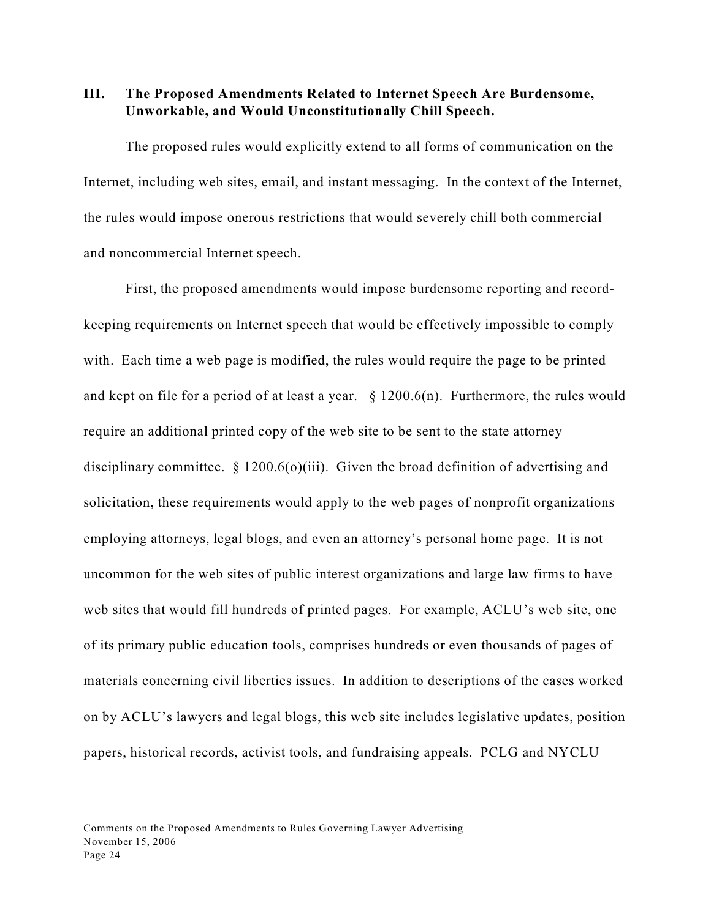## **III. The Proposed Amendments Related to Internet Speech Are Burdensome, Unworkable, and Would Unconstitutionally Chill Speech.**

The proposed rules would explicitly extend to all forms of communication on the Internet, including web sites, email, and instant messaging. In the context of the Internet, the rules would impose onerous restrictions that would severely chill both commercial and noncommercial Internet speech.

First, the proposed amendments would impose burdensome reporting and recordkeeping requirements on Internet speech that would be effectively impossible to comply with. Each time a web page is modified, the rules would require the page to be printed and kept on file for a period of at least a year.  $\S$  1200.6(n). Furthermore, the rules would require an additional printed copy of the web site to be sent to the state attorney disciplinary committee. § 1200.6(o)(iii). Given the broad definition of advertising and solicitation, these requirements would apply to the web pages of nonprofit organizations employing attorneys, legal blogs, and even an attorney's personal home page. It is not uncommon for the web sites of public interest organizations and large law firms to have web sites that would fill hundreds of printed pages. For example, ACLU's web site, one of its primary public education tools, comprises hundreds or even thousands of pages of materials concerning civil liberties issues. In addition to descriptions of the cases worked on by ACLU's lawyers and legal blogs, this web site includes legislative updates, position papers, historical records, activist tools, and fundraising appeals. PCLG and NYCLU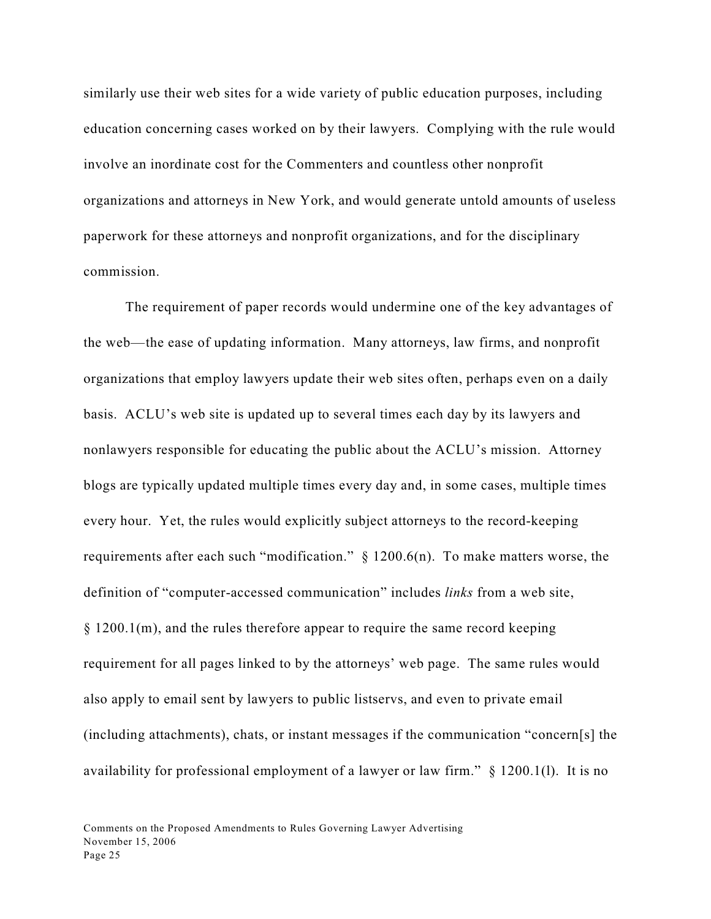similarly use their web sites for a wide variety of public education purposes, including education concerning cases worked on by their lawyers. Complying with the rule would involve an inordinate cost for the Commenters and countless other nonprofit organizations and attorneys in New York, and would generate untold amounts of useless paperwork for these attorneys and nonprofit organizations, and for the disciplinary commission.

The requirement of paper records would undermine one of the key advantages of the web—the ease of updating information. Many attorneys, law firms, and nonprofit organizations that employ lawyers update their web sites often, perhaps even on a daily basis. ACLU's web site is updated up to several times each day by its lawyers and nonlawyers responsible for educating the public about the ACLU's mission. Attorney blogs are typically updated multiple times every day and, in some cases, multiple times every hour. Yet, the rules would explicitly subject attorneys to the record-keeping requirements after each such "modification."  $\S$  1200.6(n). To make matters worse, the definition of "computer-accessed communication" includes *links* from a web site, § 1200.1(m), and the rules therefore appear to require the same record keeping requirement for all pages linked to by the attorneys' web page. The same rules would also apply to email sent by lawyers to public listservs, and even to private email (including attachments), chats, or instant messages if the communication "concern[s] the availability for professional employment of a lawyer or law firm." § 1200.1(l). It is no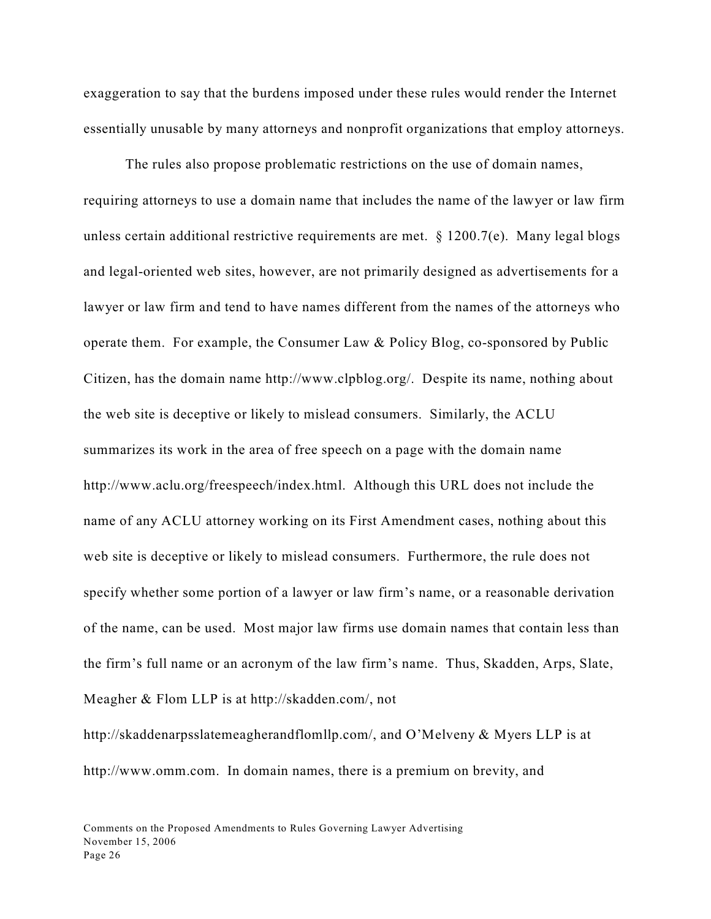exaggeration to say that the burdens imposed under these rules would render the Internet essentially unusable by many attorneys and nonprofit organizations that employ attorneys.

The rules also propose problematic restrictions on the use of domain names, requiring attorneys to use a domain name that includes the name of the lawyer or law firm unless certain additional restrictive requirements are met.  $\S$  1200.7(e). Many legal blogs and legal-oriented web sites, however, are not primarily designed as advertisements for a lawyer or law firm and tend to have names different from the names of the attorneys who operate them. For example, the Consumer Law & Policy Blog, co-sponsored by Public Citizen, has the domain name http://www.clpblog.org/. Despite its name, nothing about the web site is deceptive or likely to mislead consumers. Similarly, the ACLU summarizes its work in the area of free speech on a page with the domain name http://www.aclu.org/freespeech/index.html. Although this URL does not include the name of any ACLU attorney working on its First Amendment cases, nothing about this web site is deceptive or likely to mislead consumers. Furthermore, the rule does not specify whether some portion of a lawyer or law firm's name, or a reasonable derivation of the name, can be used. Most major law firms use domain names that contain less than the firm's full name or an acronym of the law firm's name. Thus, Skadden, Arps, Slate, Meagher & Flom LLP is at http://skadden.com/, not

http://skaddenarpsslatemeagherandflomllp.com/, and O'Melveny & Myers LLP is at http://www.omm.com. In domain names, there is a premium on brevity, and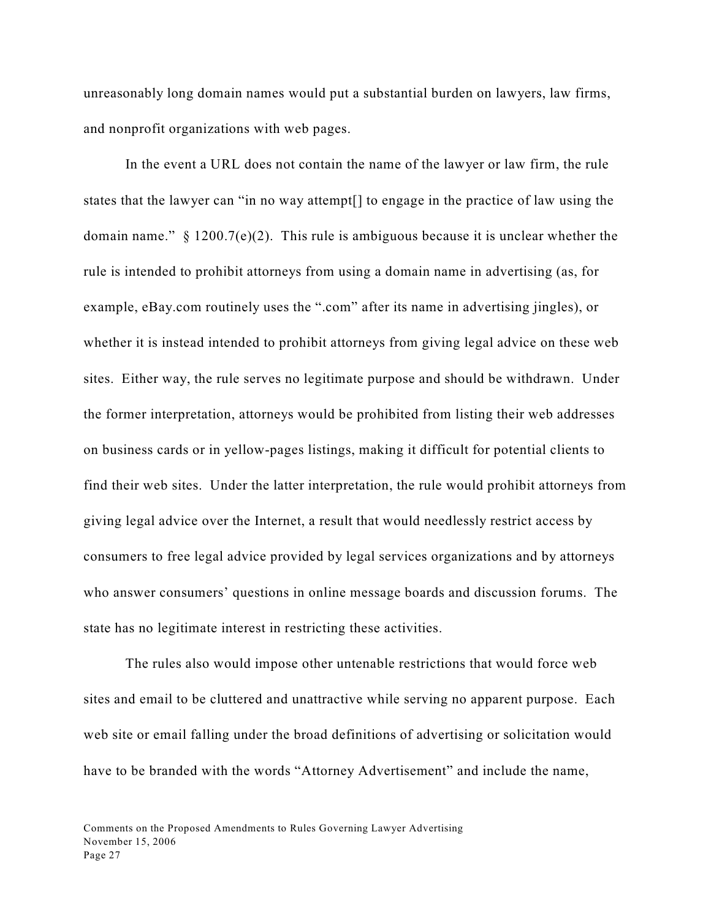unreasonably long domain names would put a substantial burden on lawyers, law firms, and nonprofit organizations with web pages.

In the event a URL does not contain the name of the lawyer or law firm, the rule states that the lawyer can "in no way attempt[] to engage in the practice of law using the domain name."  $\S$  1200.7(e)(2). This rule is ambiguous because it is unclear whether the rule is intended to prohibit attorneys from using a domain name in advertising (as, for example, eBay.com routinely uses the ".com" after its name in advertising jingles), or whether it is instead intended to prohibit attorneys from giving legal advice on these web sites. Either way, the rule serves no legitimate purpose and should be withdrawn. Under the former interpretation, attorneys would be prohibited from listing their web addresses on business cards or in yellow-pages listings, making it difficult for potential clients to find their web sites. Under the latter interpretation, the rule would prohibit attorneys from giving legal advice over the Internet, a result that would needlessly restrict access by consumers to free legal advice provided by legal services organizations and by attorneys who answer consumers' questions in online message boards and discussion forums. The state has no legitimate interest in restricting these activities.

The rules also would impose other untenable restrictions that would force web sites and email to be cluttered and unattractive while serving no apparent purpose. Each web site or email falling under the broad definitions of advertising or solicitation would have to be branded with the words "Attorney Advertisement" and include the name,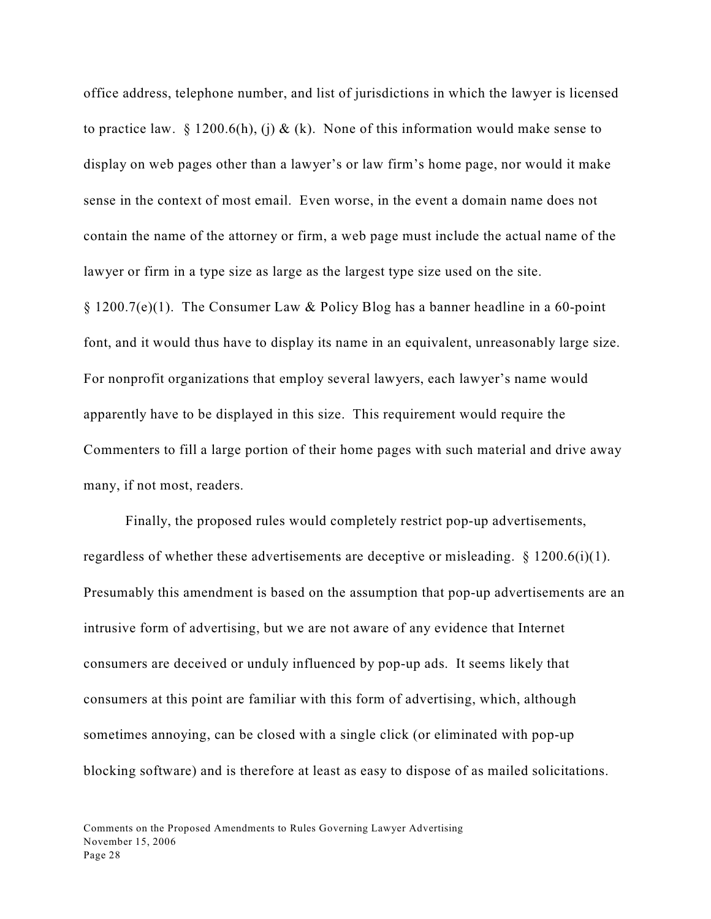office address, telephone number, and list of jurisdictions in which the lawyer is licensed to practice law. § 1200.6(h), (i) & (k). None of this information would make sense to display on web pages other than a lawyer's or law firm's home page, nor would it make sense in the context of most email. Even worse, in the event a domain name does not contain the name of the attorney or firm, a web page must include the actual name of the lawyer or firm in a type size as large as the largest type size used on the site. § 1200.7(e)(1). The Consumer Law & Policy Blog has a banner headline in a 60-point font, and it would thus have to display its name in an equivalent, unreasonably large size. For nonprofit organizations that employ several lawyers, each lawyer's name would apparently have to be displayed in this size. This requirement would require the Commenters to fill a large portion of their home pages with such material and drive away many, if not most, readers.

Finally, the proposed rules would completely restrict pop-up advertisements, regardless of whether these advertisements are deceptive or misleading.  $\S$  1200.6(i)(1). Presumably this amendment is based on the assumption that pop-up advertisements are an intrusive form of advertising, but we are not aware of any evidence that Internet consumers are deceived or unduly influenced by pop-up ads. It seems likely that consumers at this point are familiar with this form of advertising, which, although sometimes annoying, can be closed with a single click (or eliminated with pop-up blocking software) and is therefore at least as easy to dispose of as mailed solicitations.